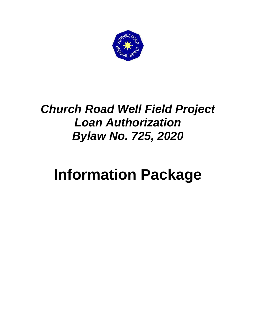

# *Church Road Well Field Project Loan Authorization Bylaw No. 725, 2020*

# **Information Package**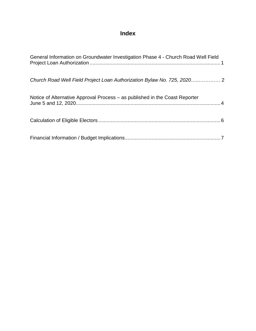### **Index**

| General Information on Groundwater Investigation Phase 4 - Church Road Well Field |
|-----------------------------------------------------------------------------------|
| Church Road Well Field Project Loan Authorization Bylaw No. 725, 2020 2           |
| Notice of Alternative Approval Process – as published in the Coast Reporter       |
|                                                                                   |
|                                                                                   |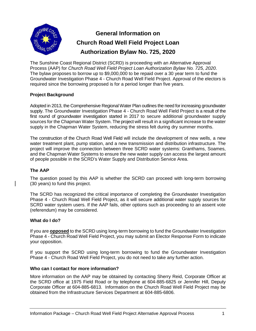

## **General Information on Church Road Well Field Project Loan Authorization Bylaw No. 725, 2020**

The Sunshine Coast Regional District (SCRD) is proceeding with an Alternative Approval Process (AAP) for *Church Road Well Field Project Loan Authorization Bylaw No. 725, 2020*. The bylaw proposes to borrow up to \$9,000,000 to be repaid over a 30 year term to fund the Groundwater Investigation Phase 4 - Church Road Well Field Project. Approval of the electors is required since the borrowing proposed is for a period longer than five years.

#### **Project Background**

Adopted in 2013, the Comprehensive Regional Water Plan outlines the need for increasing groundwater supply. The Groundwater Investigation Phase 4 - Church Road Well Field Project is a result of the first round of groundwater investigation started in 2017 to secure additional groundwater supply sources for the Chapman Water System. The project will result in a significant increase to the water supply in the Chapman Water System, reducing the stress felt during dry summer months.

The construction of the Church Road Well Field will include the development of new wells, a new water treatment plant, pump station, and a new transmission and distribution infrastructure. The project will improve the connection between three SCRD water systems: Granthams, Soames, and the Chapman Water Systems to ensure the new water supply can access the largest amount of people possible in the SCRD's Water Supply and Distribution Service Area.

#### **The AAP**

The question posed by this AAP is whether the SCRD can proceed with long-term borrowing (30 years) to fund this project.

The SCRD has recognized the critical importance of completing the Groundwater Investigation Phase 4 - Church Road Well Field Project, as it will secure additional water supply sources for SCRD water system users. If the AAP fails, other options such as proceeding to an assent vote (referendum) may be considered.

#### **What do I do?**

If you are **opposed** to the SCRD using long-term borrowing to fund the Groundwater Investigation Phase 4 - Church Road Well Field Project, you may submit an Elector Response Form to indicate your opposition.

If you support the SCRD using long-term borrowing to fund the Groundwater Investigation Phase 4 - Church Road Well Field Project, you do not need to take any further action.

#### **Who can I contact for more information?**

More information on the AAP may be obtained by contacting Sherry Reid, Corporate Officer at the SCRD office at 1975 Field Road or by telephone at 604-885-6825 or Jennifer Hill, Deputy Corporate Officer at 604-885-6813. Information on the Church Road Well Field Project may be obtained from the Infrastructure Services Department at 604-885-6806.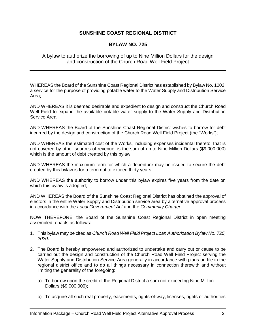#### **SUNSHINE COAST REGIONAL DISTRICT**

#### **BYLAW NO. 725**

#### A bylaw to authorize the borrowing of up to Nine Million Dollars for the design and construction of the Church Road Well Field Project

WHEREAS the Board of the Sunshine Coast Regional District has established by Bylaw No. 1002, a service for the purpose of providing potable water to the Water Supply and Distribution Service Area;

AND WHEREAS it is deemed desirable and expedient to design and construct the Church Road Well Field to expand the available potable water supply to the Water Supply and Distribution Service Area;

AND WHEREAS the Board of the Sunshine Coast Regional District wishes to borrow for debt incurred by the design and construction of the Church Road Well Field Project (the "Works");

AND WHEREAS the estimated cost of the Works, including expenses incidental thereto, that is not covered by other sources of revenue, is the sum of up to Nine Million Dollars (\$9,000,000) which is the amount of debt created by this bylaw;

AND WHEREAS the maximum term for which a debenture may be issued to secure the debt created by this bylaw is for a term not to exceed thirty years;

AND WHEREAS the authority to borrow under this bylaw expires five years from the date on which this bylaw is adopted;

AND WHEREAS the Board of the Sunshine Coast Regional District has obtained the approval of electors in the entire Water Supply and Distribution service area by alternative approval process in accordance with the *Local Government Act* and the *Community Charter*;

NOW THEREFORE, the Board of the Sunshine Coast Regional District in open meeting assembled, enacts as follows:

- 1. This bylaw may be cited as *Church Road Well Field Project Loan Authorization Bylaw No. 725, 2020*.
- 2. The Board is hereby empowered and authorized to undertake and carry out or cause to be carried out the design and construction of the Church Road Well Field Project serving the Water Supply and Distribution Service Area generally in accordance with plans on file in the regional district office and to do all things necessary in connection therewith and without limiting the generality of the foregoing:
	- a) To borrow upon the credit of the Regional District a sum not exceeding Nine Million Dollars (\$9,000,000);
	- b) To acquire all such real property, easements, rights-of-way, licenses, rights or authorities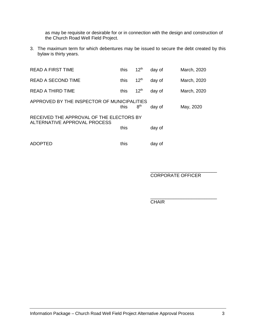as may be requisite or desirable for or in connection with the design and construction of the Church Road Well Field Project.

3. The maximum term for which debentures may be issued to secure the debt created by this bylaw is thirty years.

| <b>READ A FIRST TIME</b>                    | this | $12^{th}$        | day of | March, 2020 |  |  |
|---------------------------------------------|------|------------------|--------|-------------|--|--|
| <b>READ A SECOND TIME</b>                   | this | $12^{th}$        | day of | March, 2020 |  |  |
| READ A THIRD TIME                           | this | 12 <sup>th</sup> | day of | March, 2020 |  |  |
| APPROVED BY THE INSPECTOR OF MUNICIPALITIES | this | 8 <sup>th</sup>  | day of | May, 2020   |  |  |
| RECEIVED THE APPROVAL OF THE ELECTORS BY    |      |                  |        |             |  |  |
| ALTERNATIVE APPROVAL PROCESS                | this |                  | day of |             |  |  |
| ADOPTED                                     | this |                  | day of |             |  |  |

\_\_\_\_\_\_\_\_\_\_\_\_\_\_\_\_\_\_\_\_\_\_\_\_\_\_ CORPORATE OFFICER

\_\_\_\_\_\_\_\_\_\_\_\_\_\_\_\_\_\_\_\_\_\_\_\_\_\_ **CHAIR**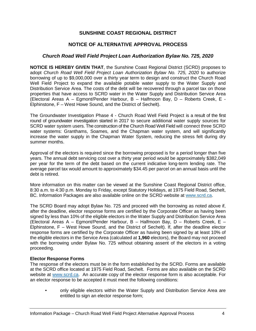#### **SUNSHINE COAST REGIONAL DISTRICT**

#### **NOTICE OF ALTERNATIVE APPROVAL PROCESS**

#### *Church Road Well Field Project Loan Authorization Bylaw No. 725, 2020*

**NOTICE IS HEREBY GIVEN THAT**, the Sunshine Coast Regional District (SCRD) proposes to adopt *Church Road Well Field Project Loan Authorization Bylaw No. 725, 2020* to authorize borrowing of up to \$9,000,000 over a thirty year term to design and construct the Church Road Well Field Project to expand the available potable water supply to the Water Supply and Distribution Service Area. The costs of the debt will be recovered through a parcel tax on those properties that have access to SCRD water in the Water Supply and Distribution Service Area (Electoral Areas A – Egmont/Pender Harbour, B – Halfmoon Bay, D – Roberts Creek, E - Elphinstone, F – West Howe Sound, and the District of Sechelt).

The Groundwater Investigation Phase 4 - Church Road Well Field Project is a result of the first round of groundwater investigation started in 2017 to secure additional water supply sources for SCRD water system users. The construction of the Church Road Well Field will connect three SCRD water systems: Granthams, Soames, and the Chapman water system, and will significantly increase the water supply in the Chapman Water System, reducing the stress felt during dry summer months.

Approval of the electors is required since the borrowing proposed is for a period longer than five years. The annual debt servicing cost over a thirty year period would be approximately \$382,049 per year for the term of the debt based on the current indicative long-term lending rate. The average parcel tax would amount to approximately \$34.45 per parcel on an annual basis until the debt is retired.

More information on this matter can be viewed at the Sunshine Coast Regional District office, 8:30 a.m. to 4:30 p.m. Monday to Friday, except Statutory Holidays, at 1975 Field Road, Sechelt, BC. Information Packages are also available online on the SCRD website at [www.scrd.ca.](http://www.scrd.ca/)

The SCRD Board may adopt Bylaw No. 725 and proceed with the borrowing as noted above if, after the deadline, elector response forms are certified by the Corporate Officer as having been signed by less than 10% of the eligible electors in the Water Supply and Distribution Service Area (Electoral Areas A – Egmont/Pender Harbour, B – Halfmoon Bay, D – Roberts Creek, E – Elphinstone, F – West Howe Sound, and the District of Sechelt). If, after the deadline elector response forms are certified by the Corporate Officer as having been signed by at least 10% of the eligible electors in the Service Area (calculated at **1,960** electors), the Board may not proceed with the borrowing under Bylaw No. 725 without obtaining assent of the electors in a voting proceeding.

#### **Elector Response Forms**

The response of the electors must be in the form established by the SCRD. Forms are available at the SCRD office located at 1975 Field Road, Sechelt. Forms are also available on the SCRD website at [www.scrd.ca.](http://www.scrd.ca/) An accurate copy of the elector response form is also acceptable. For an elector response to be accepted it must meet the following conditions:

• only eligible electors within the Water Supply and Distribution Service Area are entitled to sign an elector response form;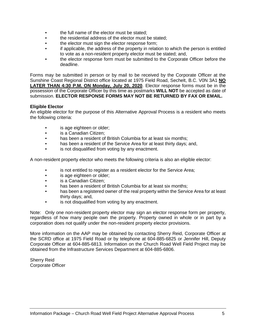- the full name of the elector must be stated;
- the residential address of the elector must be stated:
- the elector must sign the elector response form;
- if applicable, the address of the property in relation to which the person is entitled to vote as a non-resident property elector must be stated; and,
- the elector response form must be submitted to the Corporate Officer before the deadline.

Forms may be submitted in person or by mail to be received by the Corporate Officer at the Sunshine Coast Regional District office located at 1975 Field Road, Sechelt, B.C. V0N 3A1 **NO LATER THAN 4:30 P.M. ON Monday, July 20, 2020**. Elector response forms must be in the possession of the Corporate Officer by this time as postmarks **WILL NOT** be accepted as date of submission. **ELECTOR RESPONSE FORMS MAY NOT BE RETURNED BY FAX OR EMAIL.**

#### **Eligible Elector**

An eligible elector for the purpose of this Alternative Approval Process is a resident who meets the following criteria:

- is age eighteen or older;
- is a Canadian Citizen;
- has been a resident of British Columbia for at least six months;
- has been a resident of the Service Area for at least thirty days; and,
- is not disqualified from voting by any enactment.

A non-resident property elector who meets the following criteria is also an eligible elector:

- is not entitled to register as a resident elector for the Service Area;
- is age eighteen or older:
- is a Canadian Citizen;
- has been a resident of British Columbia for at least six months;
- has been a registered owner of the real property within the Service Area for at least thirty days; and,
- is not disqualified from voting by any enactment.

Note: Only one non-resident property elector may sign an elector response form per property, regardless of how many people own the property. Property owned in whole or in part by a corporation does not qualify under the non-resident property elector provisions.

More information on the AAP may be obtained by contacting Sherry Reid, Corporate Officer at the SCRD office at 1975 Field Road or by telephone at 604-885-6825 or Jennifer Hill, Deputy Corporate Officer at 604-885-6813. Information on the Church Road Well Field Project may be obtained from the Infrastructure Services Department at 604-885-6806.

Sherry Reid Corporate Officer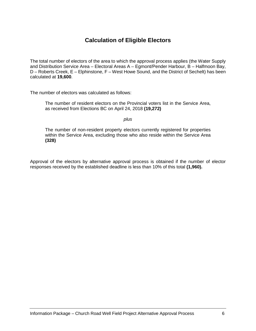#### **Calculation of Eligible Electors**

The total number of electors of the area to which the approval process applies (the Water Supply and Distribution Service Area – Electoral Areas A – Egmont/Pender Harbour, B – Halfmoon Bay, D – Roberts Creek, E – Elphinstone, F – West Howe Sound, and the District of Sechelt) has been calculated at **19,600**.

The number of electors was calculated as follows:

The number of resident electors on the Provincial voters list in the Service Area, as received from Elections BC on April 24, 2018 **(19,272)**

*plus*

The number of non-resident property electors currently registered for properties within the Service Area, excluding those who also reside within the Service Area **(328)**

Approval of the electors by alternative approval process is obtained if the number of elector responses received by the established deadline is less than 10% of this total **(1,960).**